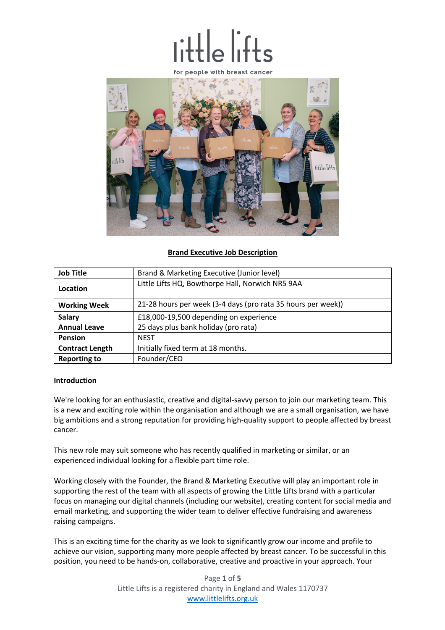# $\frac{1}{16}$



# **Brand Executive Job Description**

| <b>Job Title</b>       | Brand & Marketing Executive (Junior level)                   |  |  |
|------------------------|--------------------------------------------------------------|--|--|
| Location               | Little Lifts HQ, Bowthorpe Hall, Norwich NR5 9AA             |  |  |
| <b>Working Week</b>    | 21-28 hours per week (3-4 days (pro rata 35 hours per week)) |  |  |
| <b>Salary</b>          | £18,000-19,500 depending on experience                       |  |  |
| <b>Annual Leave</b>    | 25 days plus bank holiday (pro rata)                         |  |  |
| <b>Pension</b>         | <b>NEST</b>                                                  |  |  |
| <b>Contract Length</b> | Initially fixed term at 18 months.                           |  |  |
| <b>Reporting to</b>    | Founder/CEO                                                  |  |  |

# **Introduction**

We're looking for an enthusiastic, creative and digital-savvy person to join our marketing team. This is a new and exciting role within the organisation and although we are a small organisation, we have big ambitions and a strong reputation for providing high-quality support to people affected by breast cancer.

This new role may suit someone who has recently qualified in marketing or similar, or an experienced individual looking for a flexible part time role.

Working closely with the Founder, the Brand & Marketing Executive will play an important role in supporting the rest of the team with all aspects of growing the Little Lifts brand with a particular focus on managing our digital channels (including our website), creating content for social media and email marketing, and supporting the wider team to deliver effective fundraising and awareness raising campaigns.

This is an exciting time for the charity as we look to significantly grow our income and profile to achieve our vision, supporting many more people affected by breast cancer. To be successful in this position, you need to be hands-on, collaborative, creative and proactive in your approach. Your

> Page **1** of **5** Little Lifts is a registered charity in England and Wales 1170737 www.littlelifts.org.uk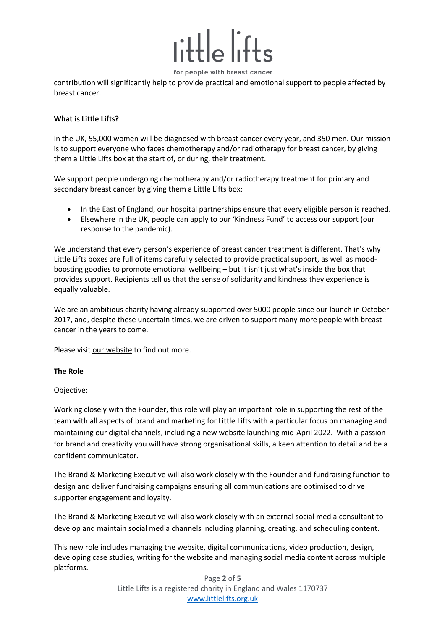

for people with breast cancer

contribution will significantly help to provide practical and emotional support to people affected by breast cancer.

# **What is Little Lifts?**

In the UK, 55,000 women will be diagnosed with breast cancer every year, and 350 men. Our mission is to support everyone who faces chemotherapy and/or radiotherapy for breast cancer, by giving them a Little Lifts box at the start of, or during, their treatment.

We support people undergoing chemotherapy and/or radiotherapy treatment for primary and secondary breast cancer by giving them a Little Lifts box:

- In the East of England, our hospital partnerships ensure that every eligible person is reached.
- Elsewhere in the UK, people can apply to our 'Kindness Fund' to access our support (our response to the pandemic).

We understand that every person's experience of breast cancer treatment is different. That's why Little Lifts boxes are full of items carefully selected to provide practical support, as well as moodboosting goodies to promote emotional wellbeing – but it isn't just what's inside the box that provides support. Recipients tell us that the sense of solidarity and kindness they experience is equally valuable.

We are an ambitious charity having already supported over 5000 people since our launch in October 2017, and, despite these uncertain times, we are driven to support many more people with breast cancer in the years to come.

Please visit our website to find out more.

# **The Role**

# Objective:

Working closely with the Founder, this role will play an important role in supporting the rest of the team with all aspects of brand and marketing for Little Lifts with a particular focus on managing and maintaining our digital channels, including a new website launching mid-April 2022. With a passion for brand and creativity you will have strong organisational skills, a keen attention to detail and be a confident communicator.

The Brand & Marketing Executive will also work closely with the Founder and fundraising function to design and deliver fundraising campaigns ensuring all communications are optimised to drive supporter engagement and loyalty.

The Brand & Marketing Executive will also work closely with an external social media consultant to develop and maintain social media channels including planning, creating, and scheduling content.

This new role includes managing the website, digital communications, video production, design, developing case studies, writing for the website and managing social media content across multiple platforms.

> Page **2** of **5** Little Lifts is a registered charity in England and Wales 1170737 www.littlelifts.org.uk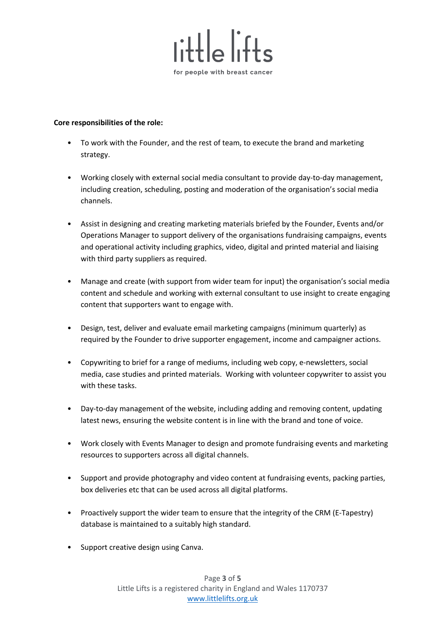

# **Core responsibilities of the role:**

- To work with the Founder, and the rest of team, to execute the brand and marketing strategy.
- Working closely with external social media consultant to provide day-to-day management, including creation, scheduling, posting and moderation of the organisation's social media channels.
- Assist in designing and creating marketing materials briefed by the Founder, Events and/or Operations Manager to support delivery of the organisations fundraising campaigns, events and operational activity including graphics, video, digital and printed material and liaising with third party suppliers as required.
- Manage and create (with support from wider team for input) the organisation's social media content and schedule and working with external consultant to use insight to create engaging content that supporters want to engage with.
- Design, test, deliver and evaluate email marketing campaigns (minimum quarterly) as required by the Founder to drive supporter engagement, income and campaigner actions.
- Copywriting to brief for a range of mediums, including web copy, e-newsletters, social media, case studies and printed materials. Working with volunteer copywriter to assist you with these tasks.
- Day-to-day management of the website, including adding and removing content, updating latest news, ensuring the website content is in line with the brand and tone of voice.
- Work closely with Events Manager to design and promote fundraising events and marketing resources to supporters across all digital channels.
- Support and provide photography and video content at fundraising events, packing parties, box deliveries etc that can be used across all digital platforms.
- Proactively support the wider team to ensure that the integrity of the CRM (E-Tapestry) database is maintained to a suitably high standard.
- Support creative design using Canva.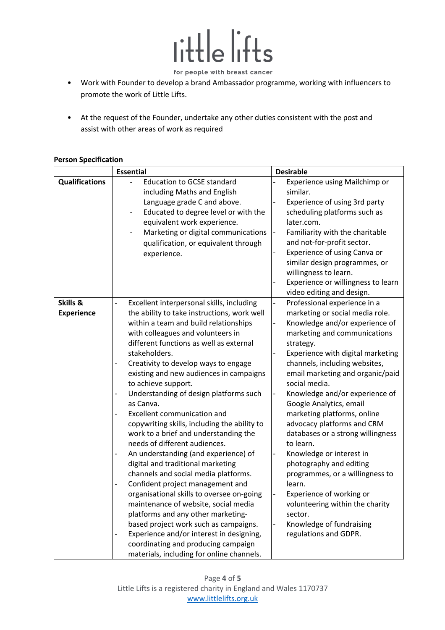

- for people with breast cancer
- Work with Founder to develop a brand Ambassador programme, working with influencers to promote the work of Little Lifts.
- At the request of the Founder, undertake any other duties consistent with the post and assist with other areas of work as required

|                               | <b>Essential</b>                                                                                                                                                                                                                                                                                                                                                                                                                                                                                                                                                                                                                                                                                                                                                                                                                                                                                                                                                                                                                                      | <b>Desirable</b>                                                                                                                                                                                                                                                                                                                                                                                                                                                                                                                                                                                                                                                                                                     |  |
|-------------------------------|-------------------------------------------------------------------------------------------------------------------------------------------------------------------------------------------------------------------------------------------------------------------------------------------------------------------------------------------------------------------------------------------------------------------------------------------------------------------------------------------------------------------------------------------------------------------------------------------------------------------------------------------------------------------------------------------------------------------------------------------------------------------------------------------------------------------------------------------------------------------------------------------------------------------------------------------------------------------------------------------------------------------------------------------------------|----------------------------------------------------------------------------------------------------------------------------------------------------------------------------------------------------------------------------------------------------------------------------------------------------------------------------------------------------------------------------------------------------------------------------------------------------------------------------------------------------------------------------------------------------------------------------------------------------------------------------------------------------------------------------------------------------------------------|--|
| <b>Qualifications</b>         | <b>Education to GCSE standard</b><br>including Maths and English<br>Language grade C and above.<br>Educated to degree level or with the<br>equivalent work experience.<br>Marketing or digital communications<br>qualification, or equivalent through<br>experience.                                                                                                                                                                                                                                                                                                                                                                                                                                                                                                                                                                                                                                                                                                                                                                                  | Experience using Mailchimp or<br>similar.<br>Experience of using 3rd party<br>scheduling platforms such as<br>later.com.<br>Familiarity with the charitable<br>-<br>and not-for-profit sector.<br>Experience of using Canva or<br>similar design programmes, or<br>willingness to learn.                                                                                                                                                                                                                                                                                                                                                                                                                             |  |
|                               |                                                                                                                                                                                                                                                                                                                                                                                                                                                                                                                                                                                                                                                                                                                                                                                                                                                                                                                                                                                                                                                       | Experience or willingness to learn<br>video editing and design.                                                                                                                                                                                                                                                                                                                                                                                                                                                                                                                                                                                                                                                      |  |
| Skills &<br><b>Experience</b> | Excellent interpersonal skills, including<br>the ability to take instructions, work well<br>within a team and build relationships<br>with colleagues and volunteers in<br>different functions as well as external<br>stakeholders.<br>Creativity to develop ways to engage<br>existing and new audiences in campaigns<br>to achieve support.<br>Understanding of design platforms such<br>as Canva.<br>Excellent communication and<br>copywriting skills, including the ability to<br>work to a brief and understanding the<br>needs of different audiences.<br>An understanding (and experience) of<br>$\overline{\phantom{0}}$<br>digital and traditional marketing<br>channels and social media platforms.<br>Confident project management and<br>organisational skills to oversee on-going<br>maintenance of website, social media<br>platforms and any other marketing-<br>based project work such as campaigns.<br>Experience and/or interest in designing,<br>coordinating and producing campaign<br>materials, including for online channels. | Professional experience in a<br>$\overline{\phantom{a}}$<br>marketing or social media role.<br>Knowledge and/or experience of<br>marketing and communications<br>strategy.<br>Experience with digital marketing<br>channels, including websites,<br>email marketing and organic/paid<br>social media.<br>Knowledge and/or experience of<br>Google Analytics, email<br>marketing platforms, online<br>advocacy platforms and CRM<br>databases or a strong willingness<br>to learn.<br>Knowledge or interest in<br>photography and editing<br>programmes, or a willingness to<br>learn.<br>Experience of working or<br>volunteering within the charity<br>sector.<br>Knowledge of fundraising<br>regulations and GDPR. |  |

# **Person Specification**